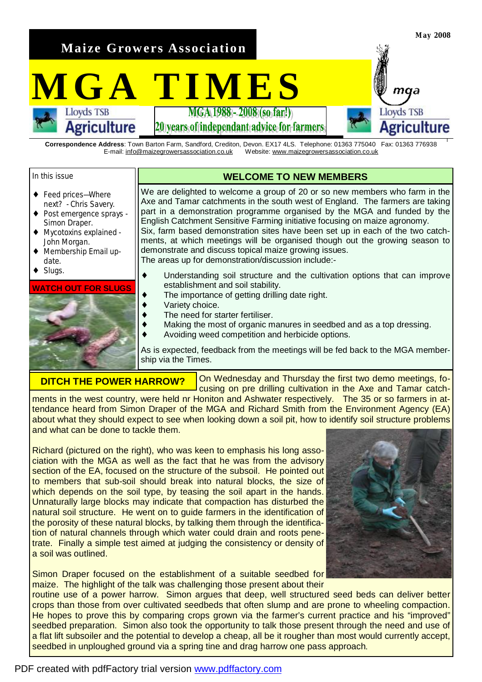**Maize Growers Association** 

# **MGATIMES**

20 vears of independant advice for farmers

**Correspondence Address**: Town Barton Farm, Sandford, Crediton, Devon. EX17 4LS. Telephone: 01363 775040 Fax: 01363 776938 E-mail: [info@maizegrowersassociation.co.uk](mailto:info@maizegrowersassociation.co.uk) Website: [www.maizegrowersassociation.co.uk](http://www.maizegrowersassociation.co.uk)

#### In this issue

- ◆ Feed prices—Where next? - Chris Savery.
- ♦ Post emergence sprays Simon Draper.

**Agriculture** 

- ♦ Mycotoxins explained John Morgan.
- Membership Email update.
- Slugs.

#### **WATCH OUT FOR SLUGS**



# **WELCOME TO NEW MEMBERS**

We are delighted to welcome a group of 20 or so new members who farm in the Axe and Tamar catchments in the south west of England. The farmers are taking part in a demonstration programme organised by the MGA and funded by the English Catchment Sensitive Farming initiative focusing on maize agronomy. Six, farm based demonstration sites have been set up in each of the two catchments, at which meetings will be organised though out the growing season to demonstrate and discuss topical maize growing issues. The areas up for demonstration/discussion include:-

- ♦ Understanding soil structure and the cultivation options that can improve establishment and soil stability.
- $\bullet$  The importance of getting drilling date right.
- Variety choice.
- The need for starter fertiliser.
- Making the most of organic manures in seedbed and as a top dressing.
- Avoiding weed competition and herbicide options.

As is expected, feedback from the meetings will be fed back to the MGA membership via the Times.

## **DITCH THE POWER HARROW?**

On Wednesday and Thursday the first two demo meetings, focusing on pre drilling cultivation in the Axe and Tamar catchments in the west country, were held nr Honiton and Ashwater respectively. The 35 or so farmers in at-

tendance heard from Simon Draper of the MGA and Richard Smith from the Environment Agency (EA) about what they should expect to see when looking down a soil pit, how to identify soil structure problems and what can be done to tackle them.

Richard (pictured on the right), who was keen to emphasis his long association with the MGA as well as the fact that he was from the advisory section of the EA, focused on the structure of the subsoil. He pointed out to members that sub-soil should break into natural blocks, the size of which depends on the soil type, by teasing the soil apart in the hands. Unnaturally large blocks may indicate that compaction has disturbed the natural soil structure. He went on to guide farmers in the identification of the porosity of these natural blocks, by talking them through the identification of natural channels through which water could drain and roots penetrate. Finally a simple test aimed at judging the consistency or density of a soil was outlined.

Simon Draper focused on the establishment of a suitable seedbed for maize. The highlight of the talk was challenging those present about their



**May 2008** 

maa

Agriculture

**Lloyds TSB** 

routine use of a power harrow. Simon argues that deep, well structured seed beds can deliver better crops than those from over cultivated seedbeds that often slump and are prone to wheeling compaction. He hopes to prove this by comparing crops grown via the farmer's current practice and his "improved" seedbed preparation. Simon also took the opportunity to talk those present through the need and use of a flat lift subsoiler and the potential to develop a cheap, all be it rougher than most would currently accept, seedbed in unploughed ground via a spring tine and drag harrow one pass approach.

## PDF created with pdfFactory trial version [www.pdffactory.com](http://www.pdffactory.com)